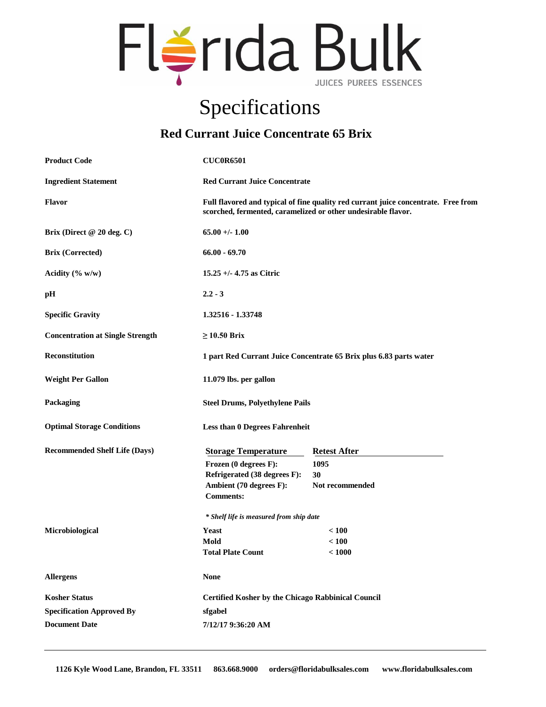

## Specifications

## **Red Currant Juice Concentrate 65 Brix**

| <b>Product Code</b>                     | <b>CUC0R6501</b>                                                                                                                                    |                                                           |  |
|-----------------------------------------|-----------------------------------------------------------------------------------------------------------------------------------------------------|-----------------------------------------------------------|--|
| <b>Ingredient Statement</b>             | <b>Red Currant Juice Concentrate</b>                                                                                                                |                                                           |  |
| Flavor                                  | Full flavored and typical of fine quality red currant juice concentrate. Free from<br>scorched, fermented, caramelized or other undesirable flavor. |                                                           |  |
| Brix (Direct @ 20 deg. C)               | $65.00 +/- 1.00$                                                                                                                                    |                                                           |  |
| <b>Brix (Corrected)</b>                 | $66.00 - 69.70$                                                                                                                                     |                                                           |  |
| Acidity $(\% w/w)$                      | $15.25 +/- 4.75$ as Citric                                                                                                                          |                                                           |  |
| pH                                      | $2.2 - 3$                                                                                                                                           |                                                           |  |
| <b>Specific Gravity</b>                 | 1.32516 - 1.33748                                                                                                                                   |                                                           |  |
| <b>Concentration at Single Strength</b> | $\geq$ 10.50 Brix                                                                                                                                   |                                                           |  |
| <b>Reconstitution</b>                   | 1 part Red Currant Juice Concentrate 65 Brix plus 6.83 parts water                                                                                  |                                                           |  |
| <b>Weight Per Gallon</b>                | 11.079 lbs. per gallon                                                                                                                              |                                                           |  |
| Packaging                               |                                                                                                                                                     | <b>Steel Drums, Polyethylene Pails</b>                    |  |
| <b>Optimal Storage Conditions</b>       |                                                                                                                                                     | <b>Less than 0 Degrees Fahrenheit</b>                     |  |
| <b>Recommended Shelf Life (Days)</b>    | <b>Storage Temperature</b>                                                                                                                          | <b>Retest After</b>                                       |  |
|                                         | Frozen (0 degrees F):                                                                                                                               | 1095                                                      |  |
|                                         | Refrigerated (38 degrees F):                                                                                                                        | 30                                                        |  |
|                                         | Ambient (70 degrees F):<br><b>Comments:</b>                                                                                                         | Not recommended                                           |  |
|                                         | * Shelf life is measured from ship date                                                                                                             |                                                           |  |
| Microbiological                         | <b>Yeast</b>                                                                                                                                        | < 100                                                     |  |
|                                         | Mold                                                                                                                                                | < 100                                                     |  |
|                                         | <b>Total Plate Count</b>                                                                                                                            | < 1000                                                    |  |
| <b>Allergens</b>                        | <b>None</b>                                                                                                                                         |                                                           |  |
| <b>Kosher Status</b>                    |                                                                                                                                                     | <b>Certified Kosher by the Chicago Rabbinical Council</b> |  |
| <b>Specification Approved By</b>        | sfgabel                                                                                                                                             |                                                           |  |
| <b>Document Date</b>                    | 7/12/17 9:36:20 AM                                                                                                                                  |                                                           |  |